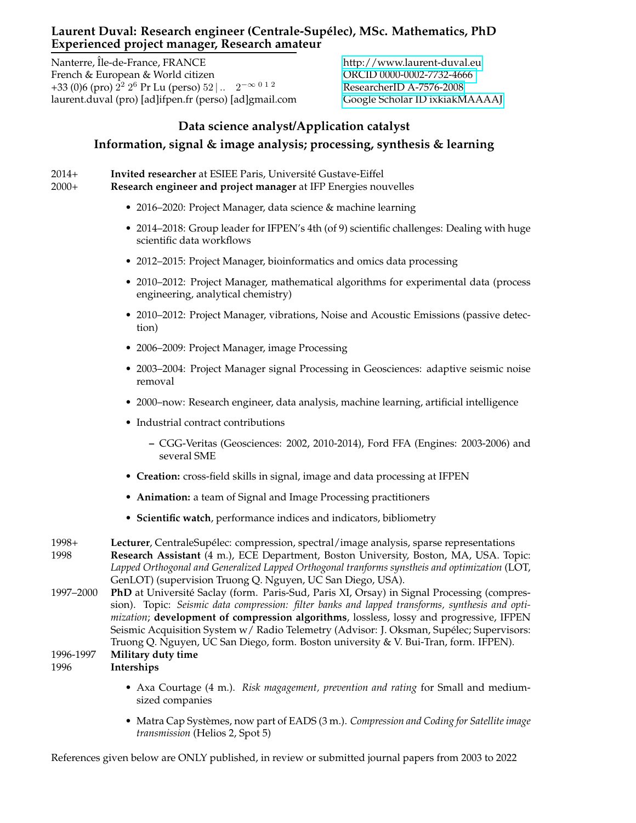## Laurent Duval: Research engineer (Centrale-Supélec), MSc. Mathematics, PhD **Experienced project manager, Research amateur**

Nanterre, Île-de-France, FRANCE<http://www.laurent-duval.eu> French & European & World citizen **ORCID 0000-0002-7732-4666** +33 (0)6 (pro)  $2^2$   $2^6$  Pr Lu (perso)  $52$  | ... 2 laurent.duval (pro) [ad]ifpen.fr (perso) [ad]gmail.com [Google Scholar ID ixkiakMAAAAJ](https://scholar.google.com/citations?user=ixkiakMAAAAJ)

−∞ 0 1 2 [ResearcherID A-7576-2008](http://www.researcherid.com/rid/A-7576-2008)

## **Data science analyst/Application catalyst Information, signal & image analysis; processing, synthesis & learning**

2014+ **Invited researcher** at ESIEE Paris, Universite Gustave-Eiffel ´

2000+ **Research engineer and project manager** at IFP Energies nouvelles

- 2016–2020: Project Manager, data science & machine learning
- 2014–2018: Group leader for IFPEN's 4th (of 9) scientific challenges: Dealing with huge scientific data workflows
- 2012–2015: Project Manager, bioinformatics and omics data processing
- 2010–2012: Project Manager, mathematical algorithms for experimental data (process engineering, analytical chemistry)
- 2010–2012: Project Manager, vibrations, Noise and Acoustic Emissions (passive detection)
- 2006–2009: Project Manager, image Processing
- 2003–2004: Project Manager signal Processing in Geosciences: adaptive seismic noise removal
- 2000–now: Research engineer, data analysis, machine learning, artificial intelligence
- Industrial contract contributions
	- **–** CGG-Veritas (Geosciences: 2002, 2010-2014), Ford FFA (Engines: 2003-2006) and several SME
- **Creation:** cross-field skills in signal, image and data processing at IFPEN
- **Animation:** a team of Signal and Image Processing practitioners
- **Scientific watch**, performance indices and indicators, bibliometry

1997–2000 **PhD** at Universite Saclay (form. Paris-Sud, Paris XI, Orsay) in Signal Processing (compres- ´ sion). Topic: *Seismic data compression: filter banks and lapped transforms, synthesis and optimization*; **development of compression algorithms**, lossless, lossy and progressive, IFPEN Seismic Acquisition System w / Radio Telemetry (Advisor: J. Oksman, Supélec; Supervisors: Truong Q. Nguyen, UC San Diego, form. Boston university & V. Bui-Tran, form. IFPEN).

```
1996-1997 Military duty time
```
1996 **Interships**

- Axa Courtage (4 m.). *Risk magagement, prevention and rating* for Small and mediumsized companies
- Matra Cap Systèmes, now part of EADS (3 m.). *Compression and Coding for Satellite image transmission* (Helios 2, Spot 5)

References given below are ONLY published, in review or submitted journal papers from 2003 to 2022

<sup>1998+</sup> **Lecturer**, CentraleSupelec: compression, spectral/image analysis, sparse representations ´ 1998 **Research Assistant** (4 m.), ECE Department, Boston University, Boston, MA, USA. Topic: *Lapped Orthogonal and Generalized Lapped Orthogonal tranforms synstheis and optimization* (LOT, GenLOT) (supervision Truong Q. Nguyen, UC San Diego, USA).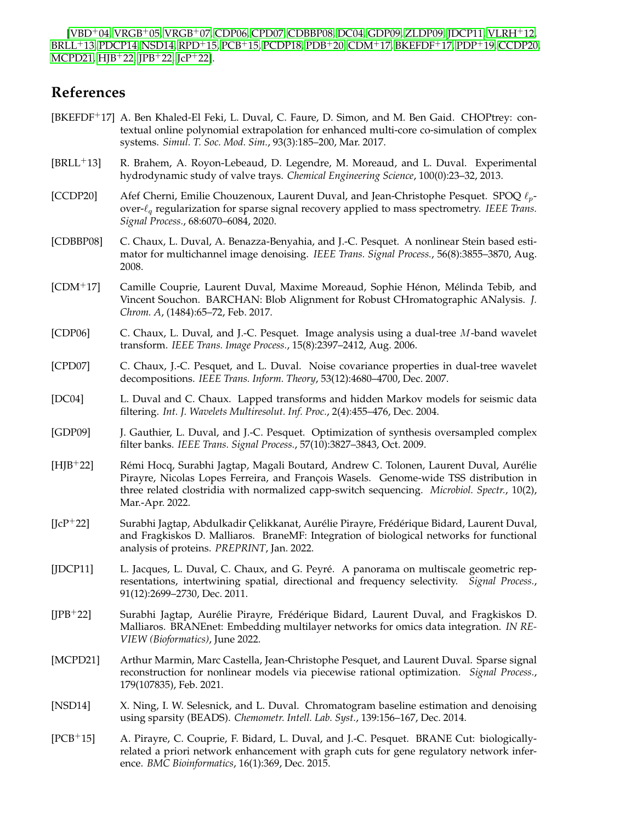[\[VBD](#page-2-0)<sup>+</sup>04, [VRGB](#page-2-1)<sup>+</sup>05, [VRGB](#page-2-2)<sup>+</sup>07, [CDP06,](#page-1-0) [CPD07,](#page-1-1) [CDBBP08,](#page-1-2) [DC04,](#page-1-3) [GDP09,](#page-1-4) [ZLDP09,](#page-2-3) [JDCP11,](#page-1-5) [VLRH](#page-2-4)<sup>+</sup>12, [BRLL](#page-1-6)<sup>+</sup>13, [PDCP14,](#page-2-5) [NSD14,](#page-1-7) [RPD](#page-2-6)<sup>+</sup>15, [PCB](#page-1-8)<sup>+</sup>15, [PCDP18,](#page-2-7) [PDB](#page-2-8)<sup>+</sup>20, [CDM](#page-1-9)<sup>+</sup>17, [BKEFDF](#page-1-10)<sup>+</sup>17, [PDP](#page-2-9)<sup>+</sup>19, [CCDP20,](#page-1-11) [MCPD21,](#page-1-12) [HJB](#page-1-13)<sup>+</sup>22, [JPB](#page-1-14)<sup>+</sup>22, [JcP](#page-1-15)<sup>+</sup>22].

## **References**

- <span id="page-1-10"></span>[BKEFDF<sup>+</sup>17] A. Ben Khaled-El Feki, L. Duval, C. Faure, D. Simon, and M. Ben Gaid. CHOPtrey: contextual online polynomial extrapolation for enhanced multi-core co-simulation of complex systems. *Simul. T. Soc. Mod. Sim.*, 93(3):185–200, Mar. 2017.
- <span id="page-1-6"></span>[BRLL<sup>+</sup>13] R. Brahem, A. Royon-Lebeaud, D. Legendre, M. Moreaud, and L. Duval. Experimental hydrodynamic study of valve trays. *Chemical Engineering Science*, 100(0):23–32, 2013.
- <span id="page-1-11"></span>[CCDP20] Afef Cherni, Emilie Chouzenoux, Laurent Duval, and Jean-Christophe Pesquet. SPOQ  $\ell_p$ over-ℓ<sup>q</sup> regularization for sparse signal recovery applied to mass spectrometry. *IEEE Trans. Signal Process.*, 68:6070–6084, 2020.
- <span id="page-1-2"></span>[CDBBP08] C. Chaux, L. Duval, A. Benazza-Benyahia, and J.-C. Pesquet. A nonlinear Stein based estimator for multichannel image denoising. *IEEE Trans. Signal Process.*, 56(8):3855–3870, Aug. 2008.
- <span id="page-1-9"></span>[CDM<sup>+</sup>17] Camille Couprie, Laurent Duval, Maxime Moreaud, Sophie Hénon, Mélinda Tebib, and Vincent Souchon. BARCHAN: Blob Alignment for Robust CHromatographic ANalysis. *J. Chrom. A*, (1484):65–72, Feb. 2017.
- <span id="page-1-0"></span>[CDP06] C. Chaux, L. Duval, and J.-C. Pesquet. Image analysis using a dual-tree M-band wavelet transform. *IEEE Trans. Image Process.*, 15(8):2397–2412, Aug. 2006.
- <span id="page-1-1"></span>[CPD07] C. Chaux, J.-C. Pesquet, and L. Duval. Noise covariance properties in dual-tree wavelet decompositions. *IEEE Trans. Inform. Theory*, 53(12):4680–4700, Dec. 2007.
- <span id="page-1-3"></span>[DC04] L. Duval and C. Chaux. Lapped transforms and hidden Markov models for seismic data filtering. *Int. J. Wavelets Multiresolut. Inf. Proc.*, 2(4):455–476, Dec. 2004.
- <span id="page-1-4"></span>[GDP09] J. Gauthier, L. Duval, and J.-C. Pesquet. Optimization of synthesis oversampled complex filter banks. *IEEE Trans. Signal Process.*, 57(10):3827–3843, Oct. 2009.
- <span id="page-1-13"></span>[HJB+22] Rémi Hocq, Surabhi Jagtap, Magali Boutard, Andrew C. Tolonen, Laurent Duval, Aurélie Pirayre, Nicolas Lopes Ferreira, and François Wasels. Genome-wide TSS distribution in three related clostridia with normalized capp-switch sequencing. *Microbiol. Spectr.*, 10(2), Mar.-Apr. 2022.
- <span id="page-1-15"></span> $[JcP+22]$  Surabhi Jagtap, Abdulkadir Çelikkanat, Aurélie Pirayre, Frédérique Bidard, Laurent Duval, and Fragkiskos D. Malliaros. BraneMF: Integration of biological networks for functional analysis of proteins. *PREPRINT*, Jan. 2022.
- <span id="page-1-5"></span>[JDCP11] L. Jacques, L. Duval, C. Chaux, and G. Peyré. A panorama on multiscale geometric representations, intertwining spatial, directional and frequency selectivity. *Signal Process.*, 91(12):2699–2730, Dec. 2011.
- <span id="page-1-14"></span>[JPB<sup>+</sup>22] Surabhi Jagtap, Aurélie Pirayre, Frédérique Bidard, Laurent Duval, and Fragkiskos D. Malliaros. BRANEnet: Embedding multilayer networks for omics data integration. *IN RE-VIEW (Bioformatics)*, June 2022.
- <span id="page-1-12"></span>[MCPD21] Arthur Marmin, Marc Castella, Jean-Christophe Pesquet, and Laurent Duval. Sparse signal reconstruction for nonlinear models via piecewise rational optimization. *Signal Process.*, 179(107835), Feb. 2021.
- <span id="page-1-7"></span>[NSD14] X. Ning, I. W. Selesnick, and L. Duval. Chromatogram baseline estimation and denoising using sparsity (BEADS). *Chemometr. Intell. Lab. Syst.*, 139:156–167, Dec. 2014.
- <span id="page-1-8"></span>[PCB<sup>+</sup>15] A. Pirayre, C. Couprie, F. Bidard, L. Duval, and J.-C. Pesquet. BRANE Cut: biologicallyrelated a priori network enhancement with graph cuts for gene regulatory network inference. *BMC Bioinformatics*, 16(1):369, Dec. 2015.